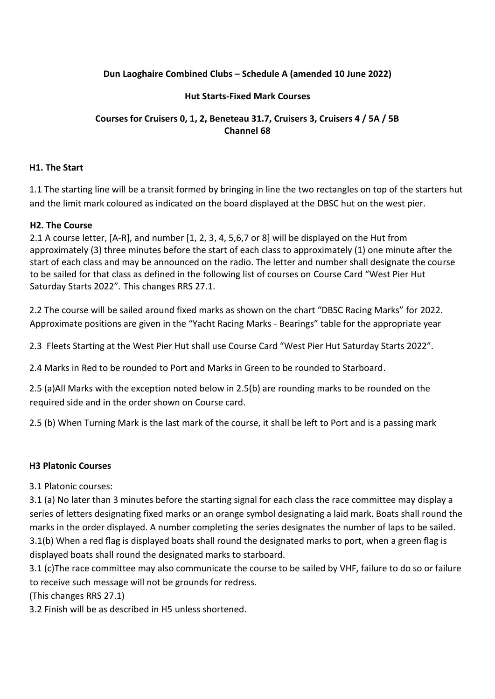# **Dun Laoghaire Combined Clubs – Schedule A (amended 10 June 2022)**

## **Hut Starts-Fixed Mark Courses**

# **Courses for Cruisers 0, 1, 2, Beneteau 31.7, Cruisers 3, Cruisers 4 / 5A / 5B Channel 68**

#### **H1. The Start**

1.1 The starting line will be a transit formed by bringing in line the two rectangles on top of the starters hut and the limit mark coloured as indicated on the board displayed at the DBSC hut on the west pier.

### **H2. The Course**

2.1 A course letter, [A-R], and number [1, 2, 3, 4, 5,6,7 or 8] will be displayed on the Hut from approximately (3) three minutes before the start of each class to approximately (1) one minute after the start of each class and may be announced on the radio. The letter and number shall designate the course to be sailed for that class as defined in the following list of courses on Course Card "West Pier Hut Saturday Starts 2022". This changes RRS 27.1.

2.2 The course will be sailed around fixed marks as shown on the chart "DBSC Racing Marks" for 2022. Approximate positions are given in the "Yacht Racing Marks - Bearings" table for the appropriate year

2.3 Fleets Starting at the West Pier Hut shall use Course Card "West Pier Hut Saturday Starts 2022".

2.4 Marks in Red to be rounded to Port and Marks in Green to be rounded to Starboard.

2.5 (a)All Marks with the exception noted below in 2.5(b) are rounding marks to be rounded on the required side and in the order shown on Course card.

2.5 (b) When Turning Mark is the last mark of the course, it shall be left to Port and is a passing mark

#### **H3 Platonic Courses**

3.1 Platonic courses:

3.1 (a) No later than 3 minutes before the starting signal for each class the race committee may display a series of letters designating fixed marks or an orange symbol designating a laid mark. Boats shall round the marks in the order displayed. A number completing the series designates the number of laps to be sailed. 3.1(b) When a red flag is displayed boats shall round the designated marks to port, when a green flag is displayed boats shall round the designated marks to starboard.

3.1 (c)The race committee may also communicate the course to be sailed by VHF, failure to do so or failure to receive such message will not be grounds for redress.

(This changes RRS 27.1)

3.2 Finish will be as described in H5 unless shortened.